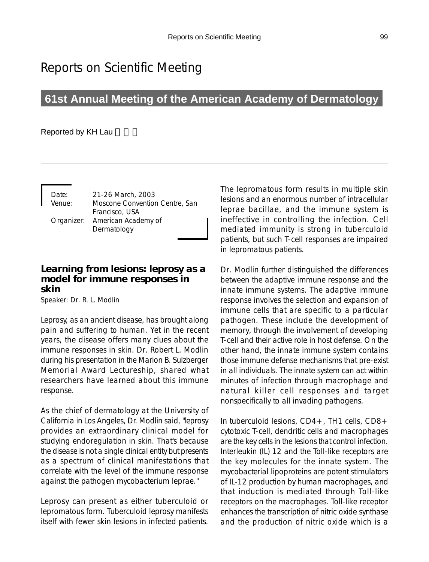# Reports on Scientific Meeting

## **61st Annual Meeting of the American Academy of Dermatology**

#### Reported by KH Lau

Date: 21-26 March, 2003 Venue: Moscone Convention Centre, San Francisco, USA Organizer: American Academy of Dermatology

#### **Learning from lesions: leprosy as a model for immune responses in skin**

Speaker: Dr. R. L. Modlin

Leprosy, as an ancient disease, has brought along pain and suffering to human. Yet in the recent years, the disease offers many clues about the immune responses in skin. Dr. Robert L. Modlin during his presentation in the Marion B. Sulzberger Memorial Award Lectureship, shared what researchers have learned about this immune response.

As the chief of dermatology at the University of California in Los Angeles, Dr. Modlin said, "leprosy provides an extraordinary clinical model for studying endoregulation in skin. That's because the disease is not a single clinical entity but presents as a spectrum of clinical manifestations that correlate with the level of the immune response against the pathogen mycobacterium leprae."

Leprosy can present as either tuberculoid or lepromatous form. Tuberculoid leprosy manifests itself with fewer skin lesions in infected patients.

The lepromatous form results in multiple skin lesions and an enormous number of intracellular leprae bacillae, and the immune system is ineffective in controlling the infection. Cell mediated immunity is strong in tuberculoid patients, but such T-cell responses are impaired in lepromatous patients.

Dr. Modlin further distinguished the differences between the adaptive immune response and the innate immune systems. The adaptive immune response involves the selection and expansion of immune cells that are specific to a particular pathogen. These include the development of memory, through the involvement of developing T-cell and their active role in host defense. On the other hand, the innate immune system contains those immune defense mechanisms that pre-exist in all individuals. The innate system can act within minutes of infection through macrophage and natural killer cell responses and target nonspecifically to all invading pathogens.

In tuberculoid lesions, CD4+, TH1 cells, CD8+ cytotoxic T-cell, dendritic cells and macrophages are the key cells in the lesions that control infection. Interleukin (IL) 12 and the Toll-like receptors are the key molecules for the innate system. The mycobacterial lipoproteins are potent stimulators of IL-12 production by human macrophages, and that induction is mediated through Toll-like receptors on the macrophages. Toll-like receptor enhances the transcription of nitric oxide synthase and the production of nitric oxide which is a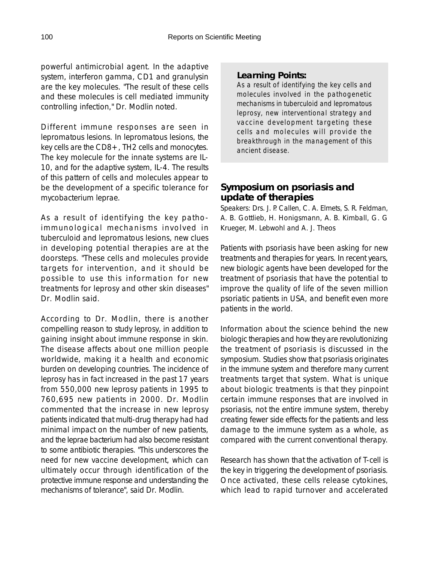powerful antimicrobial agent. In the adaptive system, interferon gamma, CD1 and granulysin are the key molecules. "The result of these cells and these molecules is cell mediated immunity controlling infection," Dr. Modlin noted.

Different immune responses are seen in lepromatous lesions. In lepromatous lesions, the key cells are the CD8+, TH2 cells and monocytes. The key molecule for the innate systems are IL-10, and for the adaptive system, IL-4. The results of this pattern of cells and molecules appear to be the development of a specific tolerance for mycobacterium leprae.

As a result of identifying the key pathoimmunological mechanisms involved in tuberculoid and lepromatous lesions, new clues in developing potential therapies are at the doorsteps. "These cells and molecules provide targets for intervention, and it should be possible to use this information for new treatments for leprosy and other skin diseases" Dr. Modlin said.

According to Dr. Modlin, there is another compelling reason to study leprosy, in addition to gaining insight about immune response in skin. The disease affects about one million people worldwide, making it a health and economic burden on developing countries. The incidence of leprosy has in fact increased in the past 17 years from 550,000 new leprosy patients in 1995 to 760,695 new patients in 2000. Dr. Modlin commented that the increase in new leprosy patients indicated that multi-drug therapy had had minimal impact on the number of new patients, and the leprae bacterium had also become resistant to some antibiotic therapies. "This underscores the need for new vaccine development, which can ultimately occur through identification of the protective immune response and understanding the mechanisms of tolerance", said Dr. Modlin.

#### *Learning Points:*

*As a result of identifying the key cells and molecules involved in the pathogenetic mechanisms in tuberculoid and lepromatous leprosy, new interventional strategy and vaccine development targeting these cells and molecules will provide the breakthrough in the management of this ancient disease.*

### **Symposium on psoriasis and update of therapies**

Speakers: Drs. J. P. Callen, C. A. Elmets, S. R. Feldman, A. B. Gottlieb, H. Honigsmann, A. B. Kimball, G. G Krueger, M. Lebwohl and A. J. Theos

Patients with psoriasis have been asking for new treatments and therapies for years. In recent years, new biologic agents have been developed for the treatment of psoriasis that have the potential to improve the quality of life of the seven million psoriatic patients in USA, and benefit even more patients in the world.

Information about the science behind the new biologic therapies and how they are revolutionizing the treatment of psoriasis is discussed in the symposium. Studies show that psoriasis originates in the immune system and therefore many current treatments target that system. What is unique about biologic treatments is that they pinpoint certain immune responses that are involved in psoriasis, not the entire immune system, thereby creating fewer side effects for the patients and less damage to the immune system as a whole, as compared with the current conventional therapy.

Research has shown that the activation of T-cell is the key in triggering the development of psoriasis. Once activated, these cells release cytokines, which lead to rapid turnover and accelerated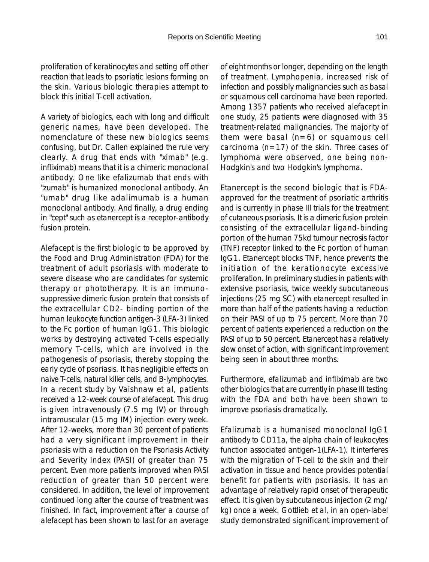proliferation of keratinocytes and setting off other reaction that leads to psoriatic lesions forming on the skin. Various biologic therapies attempt to block this initial T-cell activation.

A variety of biologics, each with long and difficult generic names, have been developed. The nomenclature of these new biologics seems confusing, but Dr. Callen explained the rule very clearly. A drug that ends with "ximab" (e.g. infliximab) means that it is a chimeric monoclonal antibody. One like efalizumab that ends with "zumab" is humanized monoclonal antibody. An "umab" drug like adalimumab is a human monoclonal antibody. And finally, a drug ending in "cept" such as etanercept is a receptor-antibody fusion protein.

Alefacept is the first biologic to be approved by the Food and Drug Administration (FDA) for the treatment of adult psoriasis with moderate to severe disease who are candidates for systemic therapy or phototherapy. It is an immunosuppressive dimeric fusion protein that consists of the extracellular CD2- binding portion of the human leukocyte function antigen-3 (LFA-3) linked to the Fc portion of human IgG1. This biologic works by destroying activated T-cells especially memory T-cells, which are involved in the pathogenesis of psoriasis, thereby stopping the early cycle of psoriasis. It has negligible effects on naive T-cells, natural killer cells, and B-lymphocytes. In a recent study by Vaishnaw et al, patients received a 12-week course of alefacept. This drug is given intravenously (7.5 mg IV) or through intramuscular (15 mg IM) injection every week. After 12-weeks, more than 30 percent of patients had a very significant improvement in their psoriasis with a reduction on the Psoriasis Activity and Severity Index (PASI) of greater than 75 percent. Even more patients improved when PASI reduction of greater than 50 percent were considered. In addition, the level of improvement continued long after the course of treatment was finished. In fact, improvement after a course of alefacept has been shown to last for an average

of eight months or longer, depending on the length of treatment. Lymphopenia, increased risk of infection and possibly malignancies such as basal or squamous cell carcinoma have been reported. Among 1357 patients who received alefacept in one study, 25 patients were diagnosed with 35 treatment-related malignancies. The majority of them were basal  $(n=6)$  or squamous cell carcinoma (n=17) of the skin. Three cases of lymphoma were observed, one being non-Hodgkin's and two Hodgkin's lymphoma.

Etanercept is the second biologic that is FDAapproved for the treatment of psoriatic arthritis and is currently in phase III trials for the treatment of cutaneous psoriasis. It is a dimeric fusion protein consisting of the extracellular ligand-binding portion of the human 75kd tumour necrosis factor (TNF) receptor linked to the Fc portion of human IgG1. Etanercept blocks TNF, hence prevents the initiation of the kerationocyte excessive proliferation. In preliminary studies in patients with extensive psoriasis, twice weekly subcutaneous injections (25 mg SC) with etanercept resulted in more than half of the patients having a reduction on their PASI of up to 75 percent. More than 70 percent of patients experienced a reduction on the PASI of up to 50 percent. Etanercept has a relatively slow onset of action, with significant improvement being seen in about three months.

Furthermore, efalizumab and infliximab are two other biologics that are currently in phase III testing with the FDA and both have been shown to improve psoriasis dramatically.

Efalizumab is a humanised monoclonal IgG1 antibody to CD11a, the alpha chain of leukocytes function associated antigen-1(LFA-1). It interferes with the migration of T-cell to the skin and their activation in tissue and hence provides potential benefit for patients with psoriasis. It has an advantage of relatively rapid onset of therapeutic effect. It is given by subcutaneous injection (2 mg/ kg) once a week. Gottlieb et al, in an open-label study demonstrated significant improvement of